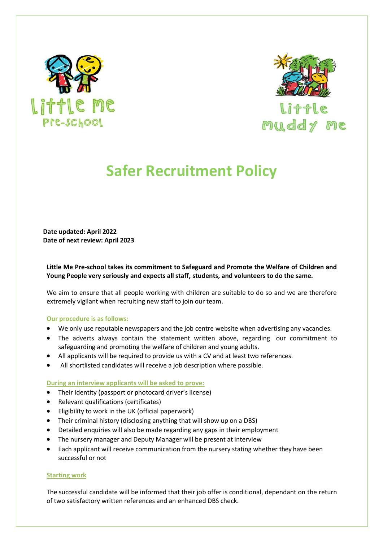



**Little** muddy me

## **Safer Recruitment Policy**

**Date updated: April 2022 Date of next review: April 2023**

**Little Me Pre-school takes its commitment to Safeguard and Promote the Welfare of Children and Young People very seriously and expects all staff, students, and volunteers to do the same.**

We aim to ensure that all people working with children are suitable to do so and we are therefore extremely vigilant when recruiting new staff to join our team.

## **Our procedure is as follows:**

- We only use reputable newspapers and the job centre website when advertising any vacancies.
- The adverts always contain the statement written above, regarding our commitment to safeguarding and promoting the welfare of children and young adults.
- All applicants will be required to provide us with a CV and at least two references.
- All shortlisted candidates will receive a job description where possible.

## **During an interview applicants will be asked to prove:**

- Their identity (passport or photocard driver's license)
- Relevant qualifications (certificates)
- Eligibility to work in the UK (official paperwork)
- Their criminal history (disclosing anything that will show up on a DBS)
- Detailed enquiries will also be made regarding any gaps in their employment
- The nursery manager and Deputy Manager will be present at interview
- Each applicant will receive communication from the nursery stating whether they have been successful or not

## **Starting work**

The successful candidate will be informed that their job offer is conditional, dependant on the return of two satisfactory written references and an enhanced DBS check.